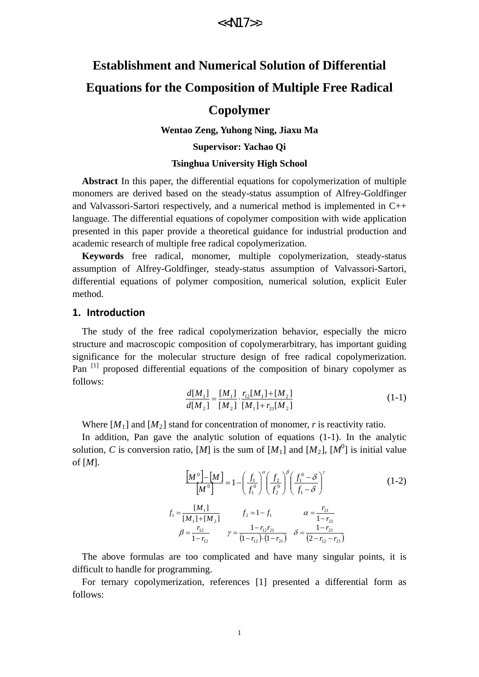# **Establishment and Numerical Solution of Differential Equations for the Composition of Multiple Free Radical**

### **Copolymer**

**Wentao Zeng, Yuhong Ning, Jiaxu Ma** 

**Supervisor: Yachao Qi**

#### **Tsinghua University High School**

**Abstract** In this paper, the differential equations for copolymerization of multiple monomers are derived based on the steady-status assumption of Alfrey-Goldfinger and Valvassori-Sartori respectively, and a numerical method is implemented in C++ language. The differential equations of copolymer composition with wide application presented in this paper provide a theoretical guidance for industrial production and academic research of multiple free radical copolymerization.

**Keywords** free radical, monomer, multiple copolymerization, steady-status assumption of Alfrey-Goldfinger, steady-status assumption of Valvassori-Sartori, differential equations of polymer composition, numerical solution, explicit Euler method.

#### **1. Introduction**

The study of the free radical copolymerization behavior, especially the micro structure and macroscopic composition of copolymerarbitrary, has important guiding significance for the molecular structure design of free radical copolymerization. Pan<sup>[1]</sup> proposed differential equations of the composition of binary copolymer as follows:

$$
\frac{d[M_1]}{d[M_2]} = \frac{[M_1]}{[M_2]} \cdot \frac{r_{12}[M_1] + [M_2]}{[M_1] + r_{21}[M_2]}
$$
\n(1-1)

Where  $[M_1]$  and  $[M_2]$  stand for concentration of monomer, *r* is reactivity ratio.

In addition, Pan gave the analytic solution of equations (1-1). In the analytic solution, *C* is conversion ratio, [*M*] is the sum of [*M*<sub>1</sub>] and [*M*<sub>2</sub>], [*M*<sup>0</sup>] is initial value of [*M*].

$$
\left[\frac{M^0}{M^0}\right] - \left[M\right] = 1 - \left(\frac{f_1}{f_1^0}\right)^{\alpha} \left(\frac{f_2}{f_2^0}\right)^{\beta} \left(\frac{f_1^0 - \delta}{f_1 - \delta}\right)^{\gamma}
$$
\n
$$
f_1 = \frac{[M_1]}{[M_1] + [M_2]} \qquad f_2 = 1 - f_1 \qquad \alpha = \frac{r_{21}}{1 - r_{21}}
$$
\n
$$
\beta = \frac{r_{12}}{1 - r_{12}} \qquad \gamma = \frac{1 - r_{12}r_{21}}{(1 - r_{12}) \cdot (1 - r_{21})} \qquad \delta = \frac{1 - r_{21}}{(2 - r_{12} - r_{21})}
$$
\n(1-2)

The above formulas are too complicated and have many singular points, it is difficult to handle for programming.

For ternary copolymerization, references [1] presented a differential form as follows: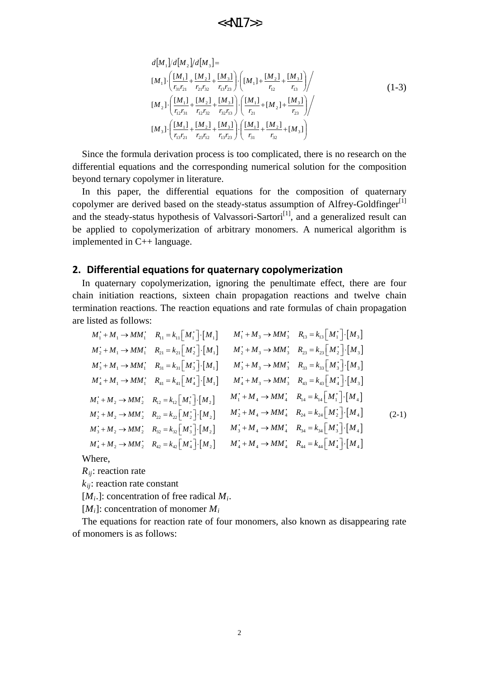$$
d[M_1]/d[M_2]/d[M_3] =
$$
  
\n
$$
[M_1] \cdot \left( \frac{[M_1]}{r_{31}r_{21}} + \frac{[M_2]}{r_{21}r_{32}} + \frac{[M_3]}{r_{13}r_{23}} \right) \cdot \left( [M_1] + \frac{[M_2]}{r_{12}} + \frac{[M_3]}{r_{13}} \right) /
$$
  
\n
$$
[M_2] \cdot \left( \frac{[M_1]}{r_{12}r_{31}} + \frac{[M_2]}{r_{12}r_{32}} + \frac{[M_3]}{r_{32}r_{13}} \right) \cdot \left( \frac{[M_1]}{r_{21}} + [M_2] + \frac{[M_3]}{r_{23}} \right) /
$$
  
\n
$$
[M_3] \cdot \left( \frac{[M_1]}{r_{13}r_{21}} + \frac{[M_2]}{r_{23}r_{12}} + \frac{[M_3]}{r_{13}r_{23}} \right) \cdot \left( \frac{[M_1]}{r_{31}} + \frac{[M_2]}{r_{32}} + [M_3] \right)
$$
\n(1-3)

Since the formula derivation process is too complicated, there is no research on the differential equations and the corresponding numerical solution for the composition beyond ternary copolymer in literature.

In this paper, the differential equations for the composition of quaternary copolymer are derived based on the steady-status assumption of Alfrey-Goldfinger $^{[1]}$ and the steady-status hypothesis of Valvassori-Sartori $[1]$ , and a generalized result can be applied to copolymerization of arbitrary monomers. A numerical algorithm is implemented in C++ language.

#### **2. Differential equations for quaternary copolymerization**

In quaternary copolymerization, ignoring the penultimate effect, there are four chain initiation reactions, sixteen chain propagation reactions and twelve chain termination reactions. The reaction equations and rate formulas of chain propagation are listed as follows:

$$
M_{1}^{+} + M_{1} \rightarrow MM_{1}^{+} \quad R_{11} = k_{11} [M_{1}^{+}] \cdot [M_{1}] \qquad M_{1}^{+} + M_{3} \rightarrow MM_{3}^{+} \quad R_{13} = k_{13} [M_{1}^{+}] \cdot [M_{3}]
$$
\n
$$
M_{2}^{+} + M_{1} \rightarrow MM_{1}^{+} \quad R_{21} = k_{21} [M_{2}^{+}] \cdot [M_{1}] \qquad M_{2}^{+} + M_{3} \rightarrow MM_{3}^{+} \quad R_{23} = k_{23} [M_{2}^{+}] \cdot [M_{3}]
$$
\n
$$
M_{3}^{+} + M_{1} \rightarrow MM_{1}^{+} \quad R_{31} = k_{31} [M_{3}^{+}] \cdot [M_{1}] \qquad M_{3}^{+} + M_{3} \rightarrow MM_{3}^{+} \quad R_{33} = k_{33} [M_{3}^{+}] \cdot [M_{3}]
$$
\n
$$
M_{4}^{+} + M_{1} \rightarrow MM_{1}^{+} \quad R_{41} = k_{41} [M_{4}^{+}] \cdot [M_{1}] \qquad M_{4}^{+} + M_{3} \rightarrow MM_{3}^{+} \quad R_{43} = k_{43} [M_{4}^{+}] \cdot [M_{3}]
$$
\n
$$
M_{1}^{+} + M_{2} \rightarrow MM_{2}^{+} \quad R_{12} = k_{12} [M_{1}^{+}] \cdot [M_{2}] \qquad M_{1}^{+} + M_{4} \rightarrow MM_{4}^{+} \quad R_{14} = k_{14} [M_{1}^{+}] \cdot [M_{4}]
$$
\n
$$
M_{2}^{+} + M_{2} \rightarrow MM_{2}^{+} \quad R_{22} = k_{22} [M_{2}^{+}] \cdot [M_{2}] \qquad M_{3}^{+} + M_{4} \rightarrow MM_{4}^{+} \quad R_{24} = k_{24} [M_{2}^{+}] \cdot [M_{4}]
$$
\n
$$
M_{3}^{+} + M_{2} \rightarrow MM_{2}^{+} \quad R_{32} = k_{32} [M_{3}^{+}] \cdot [M_{2}] \qquad M_{3}^{+} + M_{4} \rightarrow MM_{4}^{+} \quad R_{34} = k_{34} [M_{3}^{+
$$

Where,

*Rij*: reaction rate

 $k_{ii}$ : reaction rate constant

[*Mi*.]: concentration of free radical *Mi*.

 $[M_i]$ : concentration of monomer  $M_i$ 

The equations for reaction rate of four monomers, also known as disappearing rate of monomers is as follows: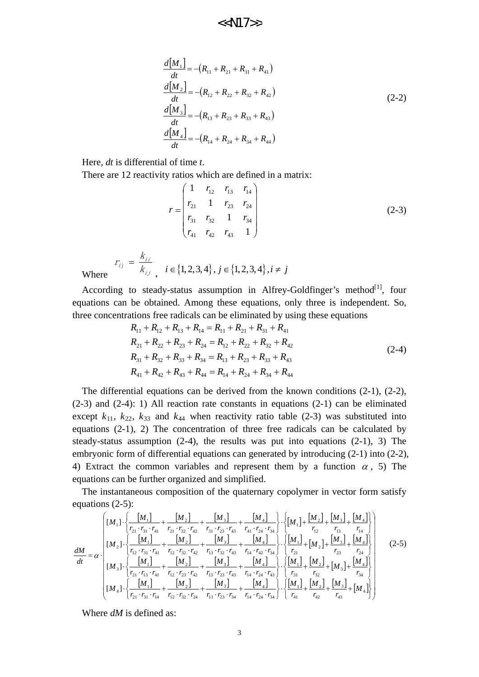$$
\frac{d[M_1]}{dt} = -(R_{11} + R_{21} + R_{31} + R_{41})
$$
\n
$$
\frac{d[M_2]}{dt} = -(R_{12} + R_{22} + R_{32} + R_{42})
$$
\n
$$
\frac{d[M_3]}{dt} = -(R_{13} + R_{23} + R_{33} + R_{43})
$$
\n
$$
\frac{d[M_4]}{dt} = -(R_{14} + R_{24} + R_{34} + R_{44})
$$
\n(2-2)

Here, *dt* is differential of time *t*.

 $\hat{i}_{ij} = \frac{n_{ii}}{k_{ii}}$ 

There are 12 reactivity ratios which are defined in a matrix:

$$
r = \begin{pmatrix} 1 & r_{12} & r_{13} & r_{14} \\ r_{21} & 1 & r_{23} & r_{24} \\ r_{31} & r_{32} & 1 & r_{34} \\ r_{41} & r_{42} & r_{43} & 1 \end{pmatrix}
$$
 (2-3)

Where  $\mathbf{v}_{ij}$  $r_{ij} = \frac{k_j}{l}$ 

According to steady-status assumption in Alfrey-Goldfinger's method<sup>[1]</sup>, four equations can be obtained. Among these equations, only three is independent. So, three concentrations free radicals can be eliminated by using these equations

 $$ 

$$
R_{11} + R_{12} + R_{13} + R_{14} = R_{11} + R_{21} + R_{31} + R_{41}
$$
  
\n
$$
R_{21} + R_{22} + R_{23} + R_{24} = R_{12} + R_{22} + R_{32} + R_{42}
$$
  
\n
$$
R_{31} + R_{32} + R_{33} + R_{34} = R_{13} + R_{23} + R_{33} + R_{43}
$$
  
\n
$$
R_{41} + R_{42} + R_{43} + R_{44} = R_{14} + R_{24} + R_{34} + R_{44}
$$
\n(2-4)

The differential equations can be derived from the known conditions (2-1), (2-2), (2-3) and (2-4): 1) All reaction rate constants in equations (2-1) can be eliminated except  $k_{11}$ ,  $k_{22}$ ,  $k_{33}$  and  $k_{44}$  when reactivity ratio table (2-3) was substituted into equations (2-1), 2) The concentration of three free radicals can be calculated by steady-status assumption (2-4), the results was put into equations (2-1), 3) The embryonic form of differential equations can generated by introducing (2-1) into (2-2), 4) Extract the common variables and represent them by a function  $\alpha$ , 5) The equations can be further organized and simplified.

The instantaneous composition of the quaternary copolymer in vector form satisfy equations (2-5):

$$
\frac{dM}{dt} = \alpha \cdot \frac{\begin{bmatrix} [M_{1}] \cdot \begin{Bmatrix} [M_{1}] \cdot r_{11} + [M_{2}] \cdot r_{21} \cdot r_{32} \cdot r_{42} + \frac{[M_{3}]}{r_{31} \cdot r_{23} \cdot r_{43}} + \frac{[M_{4}]}{r_{41} \cdot r_{24} \cdot r_{34}} \end{Bmatrix} \cdot \begin{Bmatrix} [M_{1}] + [M_{2}] \cdot [M_{3}] + [M_{4}] \cdot r_{12} \cdot \frac{[M_{1}]}{r_{12}} + \frac{[M_{4}]}{r_{13}} \end{Bmatrix}}{\begin{bmatrix} [M_{1}] \cdot \begin{Bmatrix} r_{11} \cdot r_{31} \cdot r_{31} \cdot r_{31} \cdot r_{32} \cdot r_{42} + \frac{[M_{2}]}{r_{13} \cdot r_{32} \cdot r_{43}} + \frac{[M_{4}]}{r_{14} \cdot r_{42} \cdot r_{34}} \end{Bmatrix} \cdot \begin{Bmatrix} [M_{1}] \cdot [M_{2}] \cdot [M_{3}] \cdot [M_{4}] \cdot [M_{5}] \cdot [M_{6}] \cdot [M_{7}] \cdot [M_{7}] \end{Bmatrix}}{\begin{bmatrix} [M_{3}] \cdot \begin{Bmatrix} [M_{1}] \cdot r_{13} \cdot r_{14} + \frac{[M_{2}]}{r_{12} \cdot r_{32} \cdot r_{42}} + \frac{[M_{3}]}{r_{13} \cdot r_{32} \cdot r_{43}} + \frac{[M_{4}]}{r_{14} \cdot r_{42} \cdot r_{34}} \end{Bmatrix} \cdot \begin{Bmatrix} [M_{1}] \cdot [M_{2}] \cdot [M_{3}] \cdot [M_{4}] \cdot [M_{5}] \cdot [M_{6}] \cdot [M_{7}] \cdot [M_{7}] \cdot [M_{8}] \end{Bmatrix}}{\begin{bmatrix} [M_{4}] \cdot \begin{Bmatrix} [M_{1}] \cdot \begin{Bmatrix} [M_{1}] \cdot r_{31} \cdot r_{31} \cdot r_{41} + \frac{[M_{2}]}{r_{12} \cdot r_{23} \cdot r_{42}} + \frac{[M_{3}]}{r_{13} \cdot r_{23} \cdot r_{34}} + \frac{[M_{4}]}{r_{14} \cdot r_{24}
$$

Where *dM* is defined as: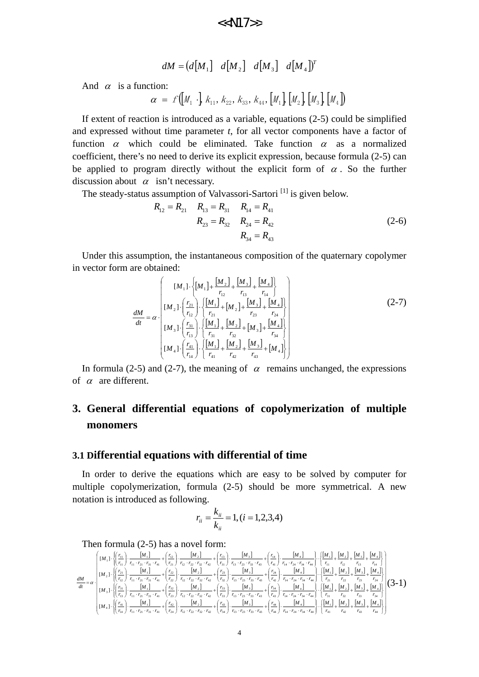$$
dM = (d[M_1] \quad d[M_2] \quad d[M_3] \quad d[M_4] \quad
$$

And  $\alpha$  is a function:

$$
\alpha = f([M_1 \cdot], K_{11}, K_{22}, K_{33}, K_{44}, [M_1], [M_2], [M_3], [M_4])
$$

If extent of reaction is introduced as a variable, equations (2-5) could be simplified and expressed without time parameter *t*, for all vector components have a factor of function  $\alpha$  which could be eliminated. Take function  $\alpha$  as a normalized coefficient, there's no need to derive its explicit expression, because formula (2-5) can be applied to program directly without the explicit form of  $\alpha$ . So the further discussion about  $\alpha$  isn't necessary.

The steady-status assumption of Valvassori-Sartori<sup>[1]</sup> is given below.

$$
R_{12} = R_{21} \t R_{13} = R_{31} \t R_{14} = R_{41}
$$
  
\n
$$
R_{23} = R_{32} \t R_{24} = R_{42}
$$
  
\n
$$
R_{34} = R_{43}
$$
 (2-6)

Under this assumption, the instantaneous composition of the quaternary copolymer in vector form are obtained:

$$
\frac{dM}{dt} = \alpha \cdot \frac{\begin{bmatrix} [M_{1}] \cdot \left\{ [M_{1}] + \frac{[M_{2}]}{r_{12}} + \frac{[M_{3}]}{r_{13}} + \frac{[M_{4}]}{r_{14}} \right\} \\ [M_{2}] \cdot \left\{ \frac{r_{21}}{r_{12}} \right\} \cdot \left\{ \frac{[M_{1}]}{r_{21}} + [M_{2}] + \frac{[M_{3}]}{r_{23}} + \frac{[M_{4}]}{r_{24}} \right\} \\ [M_{3}] \cdot \left\{ \frac{r_{31}}{r_{13}} \right\} \cdot \left\{ \frac{[M_{1}]}{r_{31}} + \frac{[M_{2}]}{r_{32}} + [M_{3}] + \frac{[M_{4}]}{r_{34}} \right\} \\ [M_{4}] \cdot \left\{ \frac{r_{41}}{r_{14}} \right\} \cdot \left\{ \frac{[M_{1}]}{r_{41}} + \frac{[M_{2}]}{r_{42}} + \frac{[M_{3}]}{r_{43}} + [M_{4}] \right\} \end{bmatrix} \tag{2-7}
$$

In formula (2-5) and (2-7), the meaning of  $\alpha$  remains unchanged, the expressions of  $\alpha$  are different.

## **3. General differential equations of copolymerization of multiple monomers**

#### **3.1 Differential equations with differential of time**

In order to derive the equations which are easy to be solved by computer for multiple copolymerization, formula (2-5) should be more symmetrical. A new notation is introduced as following.

$$
r_{ii} = \frac{k_{ii}}{k_{ii}} = 1, (i = 1, 2, 3, 4)
$$

#### Then formula (2-5) has a novel form:

$$
\frac{dM}{dt} = \alpha \cdot \begin{bmatrix} [M_{1}] \cdot \begin{bmatrix} \frac{r_{11}}{r_{11}} \end{bmatrix} \cdot \frac{[M_{1}]}{r_{11} \cdot r_{21} \cdot r_{31} \cdot r_{41}} + \frac{(r_{12}}{r_{21}}) \cdot \frac{[M_{2}]}{r_{12} \cdot r_{22} \cdot r_{32} \cdot r_{42}} + \frac{(r_{13}}{r_{31}}) \cdot \frac{[M_{3}]}{r_{13} \cdot r_{23} \cdot r_{33} \cdot r_{43}} + \frac{(r_{14}}{r_{41}}) \cdot \frac{[M_{4}]}{r_{14} \cdot r_{24} \cdot r_{34} \cdot r_{44}} + \frac{(r_{14}}{r_{11}}) \cdot \frac{[M_{4}]}{r_{14} \cdot r_{24} \cdot r_{34} \cdot r_{44}} + \frac{(r_{15}}{r_{12}}) \cdot \frac{[M_{1}]}{r_{11} \cdot r_{21} \cdot r_{31} \cdot r_{41}} + \frac{(r_{22}}{r_{22}}) \cdot \frac{[M_{2}]}{r_{12} \cdot r_{22} \cdot r_{32} \cdot r_{42}} + \frac{(r_{23}}{r_{33}}) \cdot \frac{[M_{3}]}{r_{13} \cdot r_{23} \cdot r_{33} \cdot r_{43}} + \frac{(r_{24}}{r_{24}}) \cdot \frac{[M_{4}]}{r_{14} \cdot r_{24} \cdot r_{34} \cdot r_{44}} + \frac{(r_{25}}{r_{23}}) \cdot \frac{[M_{5}]}{r_{15} \cdot r_{22} \cdot r_{32} \cdot r_{42}} + \frac{(r_{23}}{r_{33}}) \cdot \frac{[M_{3}]}{r_{13} \cdot r_{23} \cdot r_{33} \cdot r_{43}} + \frac{(r_{24}}{r_{42}}) \cdot \frac{[M_{4}]}{r_{14} \cdot r_{24} \cdot r_{34} \cdot r_{44}} + \frac{(r_{24}}{r_{24}}) \cdot \frac{[M_{4}]}{r_{14} \cdot r_{24} \cdot r_{34} \cdot r_{44}} + \frac{(r_{25}}{r_{23}}) \cdot \frac{[
$$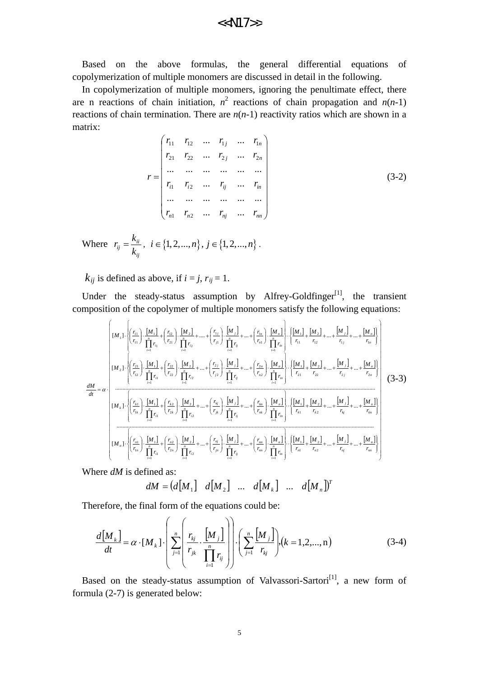Based on the above formulas, the general differential equations of copolymerization of multiple monomers are discussed in detail in the following.

In copolymerization of multiple monomers, ignoring the penultimate effect, there are n reactions of chain initiation,  $n^2$  reactions of chain propagation and  $n(n-1)$ reactions of chain termination. There are  $n(n-1)$  reactivity ratios which are shown in a matrix:

$$
r = \begin{pmatrix} r_{11} & r_{12} & \dots & r_{1j} & \dots & r_{1n} \\ r_{21} & r_{22} & \dots & r_{2j} & \dots & r_{2n} \\ \dots & \dots & \dots & \dots & \dots \\ r_{i1} & r_{i2} & \dots & r_{ij} & \dots & r_{in} \\ \dots & \dots & \dots & \dots & \dots \\ r_{n1} & r_{n2} & \dots & r_{nj} & \dots & r_{nn} \end{pmatrix}
$$
 (3-2)

Where *ij*  $\dot{a}_{ij} = \frac{\kappa_{ii}}{k_{ii}}$  $r_{ii} = \frac{k_{ii}}{l}, i \in \{1, 2, ..., n\}, j \in \{1, 2, ..., n\}$ .

 $k_{ii}$  is defined as above, if  $i = j$ ,  $r_{ij} = 1$ .

Under the steady-status assumption by Alfrey-Goldfinger<sup>[1]</sup>, the transient composition of the copolymer of multiple monomers satisfy the following equations:

$$
\frac{dM}{dt} = \alpha \cdot \frac{\left[ [M_{1}] \cdot \left\{ \frac{r_{11}}{r_{11}} \right\} \cdot \left\{ \frac{M_{11}}{r_{11}} \right\} + \left\{ \frac{r_{12}}{r_{21}} \right\} \cdot \left\{ \frac{M_{21}}{r_{11}} \right\} + \dots + \left\{ \frac{r_{1r}}{r_{1r}} \right\} \cdot \left\{ \frac{M_{r1}}{r_{11}} \right\} + \left\{ \frac{M_{r1}}{r_{11}} \right\} \cdot \left\{ \frac{M_{r1}}{r_{11}} \right\} + \left\{ \frac{M_{r1}}{r_{12}} \right\} + \dots + \left\{ \frac{r_{1r}}{r_{1r}} \right\} \cdot \left\{ \frac{M_{r1}}{r_{11}} \right\} + \dots + \left\{ \frac{r_{1r}}{r_{1r}} \right\} \cdot \left\{ \frac{M_{r1}}{r_{11}} \right\} + \left\{ \frac{M_{r1}}{r_{12}} \right\} + \dots + \left\{ \frac{r_{1r}}{r_{1r}} \right\} \cdot \left\{ \frac{M_{r1}}{r_{11}} \right\} + \dots + \left\{ \frac{r_{1r}}{r_{1r}} \right\} \cdot \left\{ \frac{M_{r1}}{r_{11}} \right\} + \dots + \left\{ \frac{r_{1r}}{r_{1r}} \right\} \cdot \left\{ \frac{M_{r1}}{r_{11}} \right\} + \dots + \left\{ \frac{r_{1r}}{r_{1r}} \right\} \cdot \left\{ \frac{M_{r1}}{r_{11}} \right\} + \dots + \left\{ \frac{r_{1r}}{r_{1r}} \right\} \cdot \left\{ \frac{M_{r1}}{r_{11}} \right\} + \left\{ \frac{M_{r1}}{r_{12}} \right\} + \dots + \left\{ \frac{M_{r1}}{r_{1r}} \right\} \cdot \left\{ \frac{M_{r1}}{r_{11}} \right\} + \dots + \left\{ \frac{M_{r1}}{r_{1r}} \right\} \cdot \left\{ \frac{M_{r1}}{r_{11}} \right\} + \dots + \left\{ \frac{M_{r1}}{r_{1r}} \right\}
$$

Where *dM* is defined as:

 $dM = (d[M_1] \quad d[M_2] \quad ... \quad d[M_k] \quad ... \quad d[M_n])^T$ 

Therefore, the final form of the equations could be:

 $\mathcal{L}$ 

$$
\frac{d[M_k]}{dt} = \alpha \cdot [M_k] \cdot \left( \sum_{j=1}^n \left( \frac{r_{kj}}{r_{jk}} \cdot \frac{[M_j]}{\prod_{i=1}^n r_{ij}} \right) \right) \cdot \left( \sum_{j=1}^n \frac{[M_j]}{r_{kj}} \right) \cdot (k = 1, 2, ..., n)
$$
\n(3-4)

Based on the steady-status assumption of Valvassori-Sartori<sup>[1]</sup>, a new form of formula (2-7) is generated below: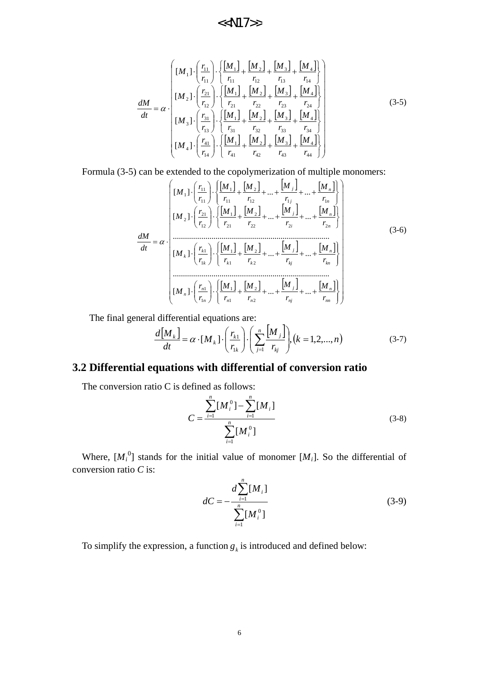$$
\frac{dM}{dt} = \alpha \cdot \frac{\begin{bmatrix} [M_{1}] \cdot \left(\frac{r_{11}}{r_{11}}\right) \cdot \left\{\frac{[M_{1}]}{r_{11}} + \frac{[M_{2}]}{r_{12}} + \frac{[M_{3}]}{r_{13}} + \frac{[M_{4}]}{r_{14}}\right\} \\ [M_{2}] \cdot \left(\frac{r_{21}}{r_{12}}\right) \cdot \left\{\frac{[M_{1}]}{r_{21}} + \frac{[M_{2}]}{r_{22}} + \frac{[M_{3}]}{r_{23}} + \frac{[M_{4}]}{r_{24}}\right\} \\ [M_{3}] \cdot \left(\frac{r_{31}}{r_{13}}\right) \cdot \left\{\frac{[M_{1}]}{r_{31}} + \frac{[M_{2}]}{r_{32}} + \frac{[M_{3}]}{r_{33}} + \frac{[M_{4}]}{r_{34}}\right\} \\ [M_{4}] \cdot \left(\frac{r_{41}}{r_{14}}\right) \cdot \left\{\frac{[M_{1}]}{r_{41}} + \frac{[M_{2}]}{r_{42}} + \frac{[M_{3}]}{r_{43}} + \frac{[M_{4}]}{r_{44}}\right\} \end{bmatrix} \tag{3-5}
$$

Formula (3-5) can be extended to the copolymerization of multiple monomers:

[ ] [ ] [ ] [ ] [ ] [ ] [ ] [ ] [ ] [ ] [ ] [ ] [ ] [ ] [ ] [ ] +++++⋅ ⋅ +++++⋅ ⋅ +++++⋅ ⋅ +++++⋅ ⋅ ⋅= *nn n nj j n n n n n kn n kj j k k k k k n n i j n n j j r M r M r M r M r <sup>r</sup> <sup>M</sup> r M r M r M r M r <sup>r</sup> <sup>M</sup> r M r M r M r M r <sup>r</sup> <sup>M</sup> r M r M r M r M r <sup>r</sup> <sup>M</sup> dt dM* ][ ... ... ............................................................................. ][ ... ... ............................................................................. ][ ... ... ][ ... ... 2 2 1 1 1 1 2 2 1 1 1 1 22 2 2 2 21 1 12 21 2 12 1 1 2 11 1 11 11 1 α (3-6)

The final general differential equations are:

$$
\frac{d\left[M_k\right]}{dt} = \alpha \cdot [M_k] \cdot \left(\frac{r_{k1}}{r_{1k}}\right) \cdot \left(\sum_{j=1}^n \frac{\left[M_j\right]}{r_{kj}}\right), \left(k = 1, 2, \dots, n\right) \tag{3-7}
$$

## **3.2 Differential equations with differential of conversion ratio**

The conversion ratio C is defined as follows:

$$
C = \frac{\sum_{i=1}^{n} [M_i^0] - \sum_{i=1}^{n} [M_i]}{\sum_{i=1}^{n} [M_i^0]}
$$
(3-8)

Where,  $[M_i^0]$  stands for the initial value of monomer  $[M_i]$ . So the differential of conversion ratio *C* is:

$$
dC = -\frac{d \sum_{i=1}^{n} [M_i]}{\sum_{i=1}^{n} [M_i^0]}
$$
(3-9)

To simplify the expression, a function  $g_k$  is introduced and defined below: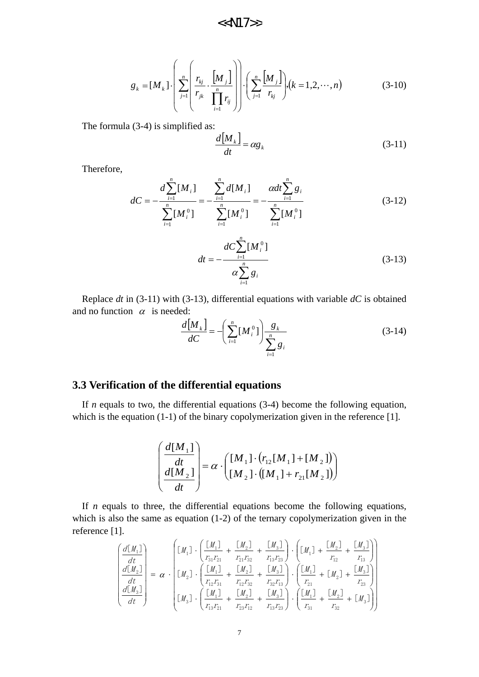$$
g_{k} = [M_{k}] \cdot \left( \sum_{j=1}^{n} \left( \frac{r_{kj}}{r_{jk}} \cdot \frac{[M_{j}]}{\prod_{i=1}^{n} r_{ij}} \right) \right) \cdot \left( \sum_{j=1}^{n} \frac{[M_{j}]}{r_{kj}} \right) \cdot (k = 1, 2, \cdots, n)
$$
(3-10)

The formula (3-4) is simplified as:

$$
\frac{d[M_k]}{dt} = \alpha g_k \tag{3-11}
$$

Therefore,

$$
dC = -\frac{d \sum_{i=1}^{n} [M_{i}]}{\sum_{i=1}^{n} [M_{i}^{0}]} = -\frac{\sum_{i=1}^{n} d[M_{i}]}{\sum_{i=1}^{n} [M_{i}^{0}]} = -\frac{\alpha dt \sum_{i=1}^{n} g_{i}}{\sum_{i=1}^{n} [M_{i}^{0}]} \tag{3-12}
$$

$$
dt = -\frac{dC \sum_{i=1}^{n} [M_i^0]}{\alpha \sum_{i=1}^{n} g_i}
$$
 (3-13)

Replace *dt* in (3-11) with (3-13), differential equations with variable *dC* is obtained and no function  $\alpha$  is needed:

$$
\frac{d\left[M_k\right]}{dC} = -\left(\sum_{i=1}^n \left[M_i^0\right]\right) \frac{g_k}{\sum_{i=1}^n g_i} \tag{3-14}
$$

### **3.3 Verification of the differential equations**

If *n* equals to two, the differential equations (3-4) become the following equation, which is the equation (1-1) of the binary copolymerization given in the reference [1].

$$
\left(\frac{d[M_1]}{dt}\right) = \alpha \cdot \left(\begin{bmatrix} M_1 \end{bmatrix} \cdot \left(\begin{bmatrix} r_{12} [M_1] + [M_2] \end{bmatrix}\right) \left(\begin{bmatrix} M_{12} \end{bmatrix} + \left[\begin{bmatrix} M_{21} \end{bmatrix} + r_{21} [M_2] \end{bmatrix}\right)\right)
$$

If *n* equals to three, the differential equations become the following equations, which is also the same as equation (1-2) of the ternary copolymerization given in the reference [1].

$$
\begin{pmatrix}\n\frac{d[M_1]}{dt} \\
\frac{d[M_2]}{dt} \\
\frac{d[M_3]}{dt}\n\end{pmatrix} = \alpha \cdot \begin{pmatrix}\n\left[M_1\right] \cdot \left(\frac{[M_1]}{r_{31}r_{21}} + \frac{[M_2]}{r_{21}r_{32}} + \frac{[M_3]}{r_{13}r_{23}}\right) \cdot \left(\left[M_1\right] + \frac{[M_2]}{r_{12}} + \frac{[M_3]}{r_{13}}\right) \\
\frac{d[M_2]}{dt} \\
\frac{d[M_3]}{dt}\n\end{pmatrix} = \alpha \cdot \begin{pmatrix}\n\left[M_1\right] \cdot \left(\frac{[M_1]}{r_{12}r_{31}} + \frac{[M_2]}{r_{12}r_{32}} + \frac{[M_3]}{r_{12}r_{32}}\right) \cdot \left(\frac{[M_1]}{r_{21}} + [M_2] + \frac{[M_3]}{r_{23}}\right) \\
\frac{d[M_3]}{dt} \cdot \left(\frac{[M_1]}{r_{13}r_{21}} + \frac{[M_2]}{r_{23}r_{12}} + \frac{[M_3]}{r_{13}r_{23}}\right) \cdot \left(\frac{[M_1]}{r_{31}} + \frac{[M_2]}{r_{32}} + [M_3]\right)\n\end{pmatrix}
$$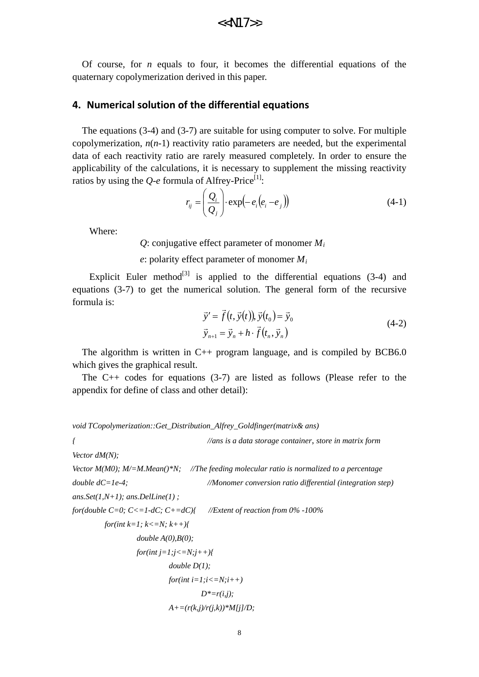Of course, for *n* equals to four, it becomes the differential equations of the quaternary copolymerization derived in this paper.

#### **4. Numerical solution of the differential equations**

The equations (3-4) and (3-7) are suitable for using computer to solve. For multiple copolymerization,  $n(n-1)$  reactivity ratio parameters are needed, but the experimental data of each reactivity ratio are rarely measured completely. In order to ensure the applicability of the calculations, it is necessary to supplement the missing reactivity ratios by using the  $Q$ -*e* formula of Alfrey-Price<sup>[1]</sup>:

$$
r_{ij} = \left(\frac{Q_i}{Q_j}\right) \cdot \exp\left(-e_i\left(e_i - e_j\right)\right) \tag{4-1}
$$

Where:

*Q*: conjugative effect parameter of monomer *Mi*

*e*: polarity effect parameter of monomer *Mi*

Explicit Euler method<sup>[3]</sup> is applied to the differential equations  $(3-4)$  and equations (3-7) to get the numerical solution. The general form of the recursive formula is:

$$
\vec{y}' = \vec{f}(t, \vec{y}(t)), \vec{y}(t_0) = \vec{y}_0
$$
  
\n
$$
\vec{y}_{n+1} = \vec{y}_n + h \cdot \vec{f}(t_n, \vec{y}_n)
$$
\n(4-2)

The algorithm is written in  $C_{++}$  program language, and is compiled by BCB6.0 which gives the graphical result.

The  $C++$  codes for equations (3-7) are listed as follows (Please refer to the appendix for define of class and other detail):

*void TCopolymerization::Get\_Distribution\_Alfrey\_Goldfinger(matrix& ans)* 

*{ //ans is a data storage container*, *store in matrix form*

*Vector dM(N);*

*Vector M(M0); M/=M.Mean()\*N; //The feeding molecular ratio is normalized to a percentage double dC=1e-4; //Monomer conversion ratio differential (integration step)*

*ans.Set(1,N+1); ans.DelLine(1) ;*

*for(double C=0; C<=1-dC; C+=dC){ //Extent of reaction from 0% -100% for(int k=1; k<=N; k++){* 

double 
$$
A(0), B(0)
$$
;

$$
for(int j=1; j<=N; j++)\{
$$
  
double D(1);  

$$
for(int i=1; i<=N; i++)
$$
  

$$
D^*=r(i,j);
$$
  

$$
A+=(r(k,j)/r(j,k))*M[j]/D;
$$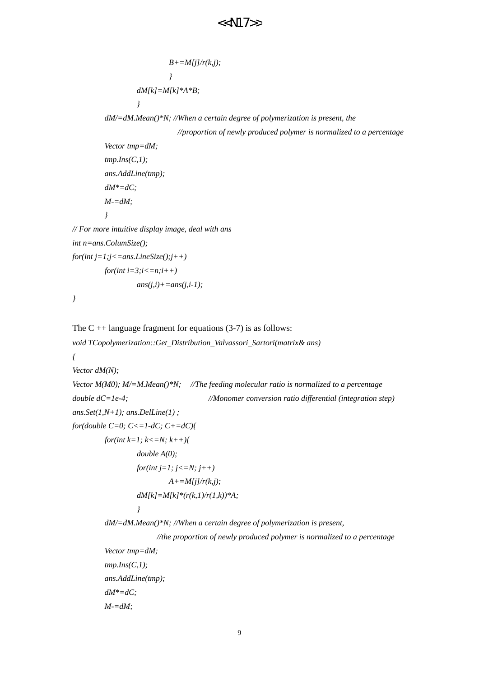```
B+=M[j]/r(k,j); } 
                  dM[k]=M[k]*A*B;
 } 
          dM/=dM.Mean()*N; //When a certain degree of polymerization is present, the
                            //proportion of newly produced polymer is normalized to a percentage
          Vector tmp=dM;
          tmp.Ins(C,1);
          ans.AddLine(tmp);
          dM*=dC;
         M = dM } 
// For more intuitive display image, deal with ans
int n=ans.ColumSize();
for(int j=1; j<=ans.LineSize(j,j++)for(int i=3:i \leq = n:i++)
                 ans(i,i)+=ans(j,i-1);
The C + + language fragment for equations (3-7) is as follows:
void TCopolymerization::Get_Distribution_Valvassori_Sartori(matrix& ans)
Vector dM(N);
Vector M(M0); M/=M.Mean()*N; //The feeding molecular ratio is normalized to a percentage
double dC=1e-4; //Monomer conversion ratio differential (integration step)
ans.Set(1,N+1); ans.DelLine(1) ;
for(double C=0; C<=1-dC; C+=dC){
        for(int k=1; k<=N; k++){
                  double A(0);
                  for(int j=1; j<=N; j++)
                           A+=M[j]/r(k,j);
                  dM[k]=M[k]*(r(k,1)/r(1,k))*A;
 } 
          dM/=dM.Mean()*N; //When a certain degree of polymerization is present, 
                       //the proportion of newly produced polymer is normalized to a percentage
          Vector tmp=dM;
```
 *tmp.Ins(C,1); ans.AddLine(tmp);*

 *dM\*=dC;*

*}* 

*{* 

 *M-=dM;*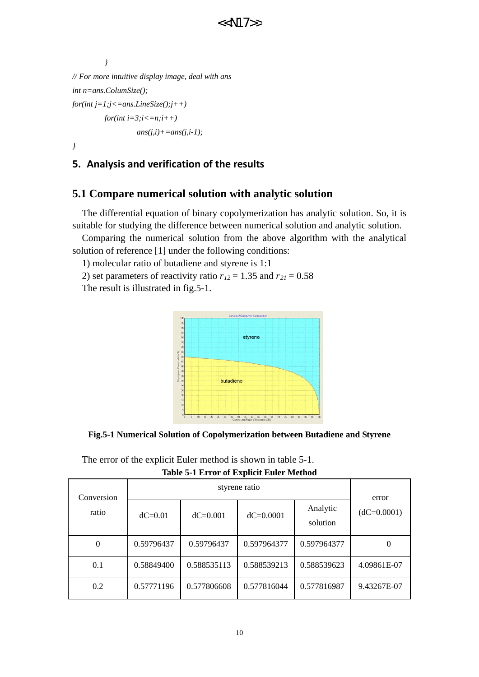```
 } 
// For more intuitive display image, deal with ans 
int n=ans.ColumSize();
for(int j=1; j<=ans.LineSize(j; j++)for(int i=3;i <= n;i++)
                    ans(i,i)+=ans(j,i-1);
```
*}* 

### **5. Analysis and verification of the results**

### **5.1 Compare numerical solution with analytic solution**

The differential equation of binary copolymerization has analytic solution. So, it is suitable for studying the difference between numerical solution and analytic solution.

Comparing the numerical solution from the above algorithm with the analytical solution of reference [1] under the following conditions:

1) molecular ratio of butadiene and styrene is 1:1

2) set parameters of reactivity ratio  $r_{12} = 1.35$  and  $r_{21} = 0.58$ 

The result is illustrated in fig.5-1.



**Fig.5-1 Numerical Solution of Copolymerization between Butadiene and Styrene**

| Table 3-1 ETTUT OF EXPIRIT EURT IMEDIUM |            |              |               |                      |               |  |
|-----------------------------------------|------------|--------------|---------------|----------------------|---------------|--|
| Conversion<br>ratio                     |            | error        |               |                      |               |  |
|                                         | $dC=0.01$  | $dC = 0.001$ | $dC = 0.0001$ | Analytic<br>solution | $(dC=0.0001)$ |  |
| $\overline{0}$                          | 0.59796437 | 0.59796437   | 0.597964377   | 0.597964377          |               |  |
| 0.1                                     | 0.58849400 | 0.588535113  | 0.588539213   | 0.588539623          | 4.09861E-07   |  |
| 0.2                                     | 0.57771196 | 0.577806608  | 0.577816044   | 0.577816987          | 9.43267E-07   |  |

The error of the explicit Euler method is shown in table 5-1. **Table 5-1 Error of Explicit Euler Method**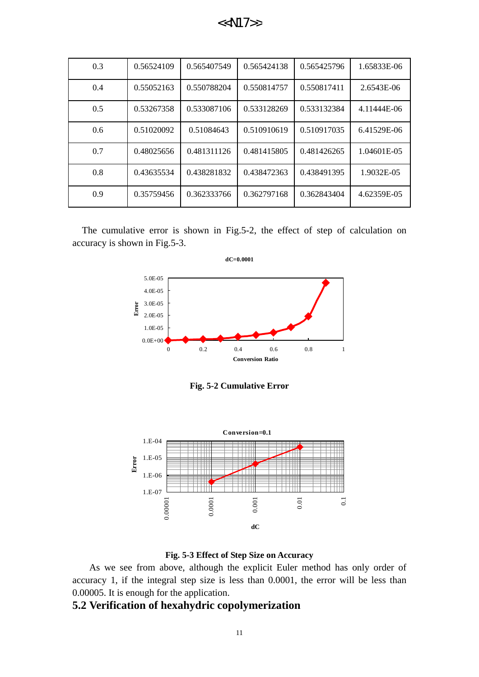| 0.3 | 0.56524109 | 0.565407549 | 0.565424138 | 0.565425796 | 1.65833E-06 |
|-----|------------|-------------|-------------|-------------|-------------|
| 0.4 | 0.55052163 | 0.550788204 | 0.550814757 | 0.550817411 | 2.6543E-06  |
| 0.5 | 0.53267358 | 0.533087106 | 0.533128269 | 0.533132384 | 4.11444E-06 |
| 0.6 | 0.51020092 | 0.51084643  | 0.510910619 | 0.510917035 | 6.41529E-06 |
| 0.7 | 0.48025656 | 0.481311126 | 0.481415805 | 0.481426265 | 1.04601E-05 |
| 0.8 | 0.43635534 | 0.438281832 | 0.438472363 | 0.438491395 | 1.9032E-05  |
| 0.9 | 0.35759456 | 0.362333766 | 0.362797168 | 0.362843404 | 4.62359E-05 |

The cumulative error is shown in Fig.5-2, the effect of step of calculation on accuracy is shown in Fig.5-3.



**Fig. 5-2 Cumulative Error**





As we see from above, although the explicit Euler method has only order of accuracy 1, if the integral step size is less than 0.0001, the error will be less than 0.00005. It is enough for the application.

#### **5.2 Verification of hexahydric copolymerization**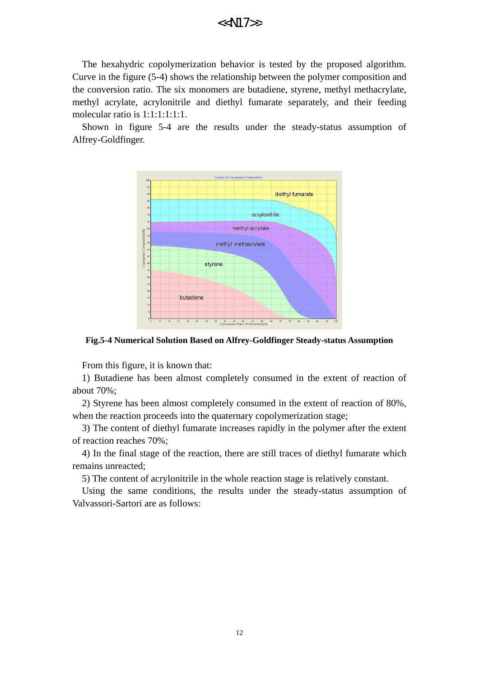The hexahydric copolymerization behavior is tested by the proposed algorithm. Curve in the figure (5-4) shows the relationship between the polymer composition and the conversion ratio. The six monomers are butadiene, styrene, methyl methacrylate, methyl acrylate, acrylonitrile and diethyl fumarate separately, and their feeding molecular ratio is 1:1:1:1:1:1.

Shown in figure 5-4 are the results under the steady-status assumption of Alfrey-Goldfinger.



**Fig.5-4 Numerical Solution Based on Alfrey-Goldfinger Steady-status Assumption**

From this figure, it is known that:

1) Butadiene has been almost completely consumed in the extent of reaction of about 70%;

2) Styrene has been almost completely consumed in the extent of reaction of 80%, when the reaction proceeds into the quaternary copolymerization stage;

3) The content of diethyl fumarate increases rapidly in the polymer after the extent of reaction reaches 70%;

4) In the final stage of the reaction, there are still traces of diethyl fumarate which remains unreacted;

5) The content of acrylonitrile in the whole reaction stage is relatively constant.

Using the same conditions, the results under the steady-status assumption of Valvassori-Sartori are as follows: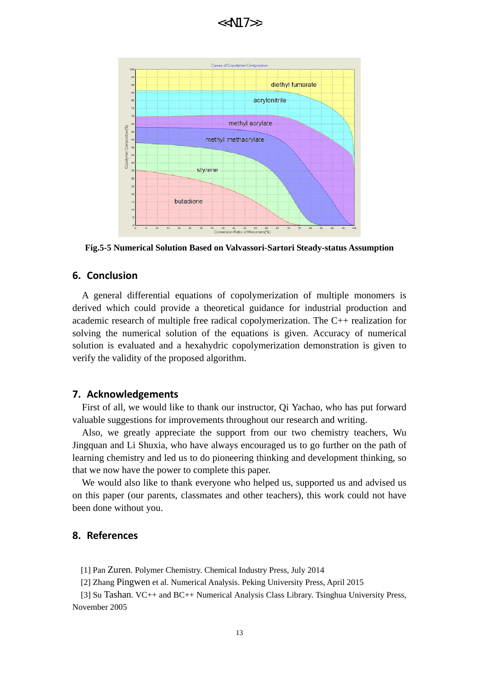

**Fig.5-5 Numerical Solution Based on Valvassori-Sartori Steady-status Assumption**

#### **6. Conclusion**

A general differential equations of copolymerization of multiple monomers is derived which could provide a theoretical guidance for industrial production and academic research of multiple free radical copolymerization. The C++ realization for solving the numerical solution of the equations is given. Accuracy of numerical solution is evaluated and a hexahydric copolymerization demonstration is given to verify the validity of the proposed algorithm.

#### **7. Acknowledgements**

First of all, we would like to thank our instructor, Qi Yachao, who has put forward valuable suggestions for improvements throughout our research and writing.

Also, we greatly appreciate the support from our two chemistry teachers, Wu Jingquan and Li Shuxia, who have always encouraged us to go further on the path of learning chemistry and led us to do pioneering thinking and development thinking, so that we now have the power to complete this paper.

We would also like to thank everyone who helped us, supported us and advised us on this paper (our parents, classmates and other teachers), this work could not have been done without you.

#### **8. References**

[1] Pan Zuren. Polymer Chemistry. Chemical Industry Press, July 2014

[2] Zhang Pingwen et al. Numerical Analysis. Peking University Press, April 2015

[3] Su Tashan. VC++ and BC++ Numerical Analysis Class Library. Tsinghua University Press, November 2005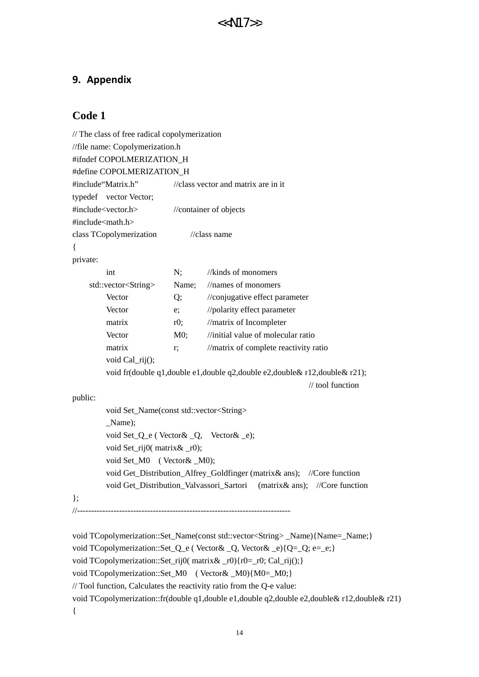### **9. Appendix**

### **Code 1**

```
// The class of free radical copolymerization
//file name: Copolymerization.h
#ifndef COPOLMERIZATION_H
#define COPOLMERIZATION_H
#include"Matrix.h" //class vector and matrix are in it
typedef vector Vector; 
#include<vector.h> //container of objects
\#include<math.h>class TCopolymerization //class name
{ 
private: 
        int N; //kinds of monomers
    std::vector<String> Name; //names of monomers
        Vector O; //conjugative effect parameter
        Vector e; //polarity effect parameter
        matrix r0; //matrix of Incompleter
        Vector M0; //initial value of molecular ratio
        matrix r; //matrix of complete reactivity ratio
         void Cal_rij();
         void fr(double q1,double e1,double q2,double e2,double& r12,double& r21); 
                                                             // tool function 
public: 
         void Set_Name(const std::vector<String> 
         _Name); 
         void Set_Q_e ( Vector& _Q, Vector& _e); 
        void Set_rij0( matrix & _r0);
         void Set_M0 ( Vector& _M0); 
         void Get_Distribution_Alfrey_Goldfinger (matrix& ans); //Core function
         void Get_Distribution_Valvassori_Sartori (matrix& ans); //Core function
}; 
//----------------------------------------------------------------------------
void TCopolymerization::Set_Name(const std::vector<String> _Name){Name=_Name;}
void TCopolymerization::Set_Q_e ( Vector& _Q, Vector& _e){Q=_Q; e=_e;}
void TCopolymerization::Set_rij0(matrix&r0\rangle{r0}=_r0; Cal_rij();}
void TCopolymerization::Set_M0 ( Vector& _M0){M0=_M0;}
// Tool function, Calculates the reactivity ratio from the Q-e value:
```
void TCopolymerization::fr(double q1,double e1,double q2,double e2,double& r12,double& r21)

{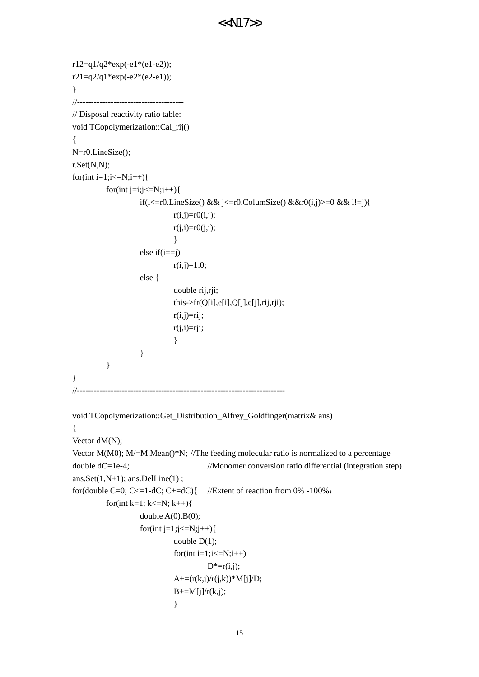```
r12=q1/q2*exp(-e1*(e1-e2));r21=q2/q1*exp(-e2*(e2-e1));
} 
//--------------------------------------
// Disposal reactivity ratio table: 
void TCopolymerization::Cal_rij()
{ 
N=r0.LineSize();
r.Set(N,N);
for(int i=1;i\le=N;i++){
         for(int j=i;j\leq=N;j++){
                  if(i<=r0.LineSize() && j<=r0.ColumSize() &&r0(i,j)>=0 && i!=j){
                           r(i,j)=r0(i,j);r(j,i)=r0(j,i); } 
                  else if(i==j)
                           r(i,j)=1.0; else {
                            double rij,rji;
                            this->fr(Q[i],e[i],Q[j],e[j],rij,rji);
                           r(i,j)=rij;r(j,i)=rji; } 
 } 
          } 
} 
//--------------------------------------------------------------------------
void TCopolymerization::Get_Distribution_Alfrey_Goldfinger(matrix& ans)
{ 
Vector dM(N);
Vector M(M0); M/=M.Mean()*N; //The feeding molecular ratio is normalized to a percentage
double dC=1e-4; //Monomer conversion ratio differential (integration step)
ans.Set(1,N+1); ans.DelLine(1) ;
for(double C=0; C<=1-dC; C+=dC){ //Extent of reaction from 0% -100%;
         for(int k=1; k <= N; k + + \} {
                  double A(0),B(0);
                  for(int j=1;j<=N;j++){
                           double D(1);
                           for(int i=1;i <= N;i++)
                                    D^* = r(i,j);A+=(r(k,j)/r(j,k))^*M[j]/D;B+=M[j]/r(k,j); }
```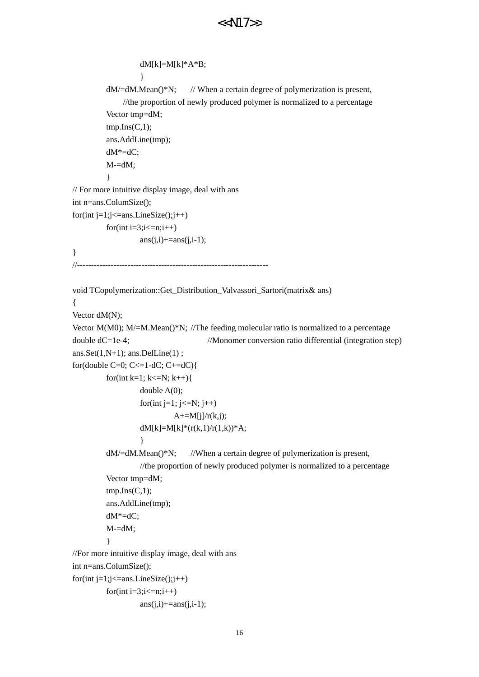```
dM[k] = M[k]^*A*B; } 
         dM/dM. Mean()*N; // When a certain degree of polymerization is present,
             //the proportion of newly produced polymer is normalized to a percentage 
          Vector tmp=dM;
         tmp.Ins(C,1); ans.AddLine(tmp);
          dM*=dC;
         M = dM;
 } 
// For more intuitive display image, deal with ans
int n=ans.ColumSize();
for(int j=1; j<=ans.LineSize(); j++)for(int i=3;i\le=n;i++)
                  ans(i,i)=ans(i,i-1);} 
//--------------------------------------------------------------------
void TCopolymerization::Get_Distribution_Valvassori_Sartori(matrix& ans)
{ 
Vector dM(N);
Vector M(M0); M/m/m. Mean()*N; //The feeding molecular ratio is normalized to a percentage
double dC=1e-4; //Monomer conversion ratio differential (integration step)
ans.Set(1,N+1); ans.DelLine(1);
for(double C=0; C<=1-dC; C+=dC){
         for(int k=1; k <= N; k + + \} {
                   double A(0);
                  for(int j=1; j<=N; j++)
                           A+=M[j]/r(k,j);dM[k]=M[k]*(r(k,1)/r(1,k))*A;
 } 
         dM/dM. Mean()*N; //When a certain degree of polymerization is present,
                  //the proportion of newly produced polymer is normalized to a percentage
          Vector tmp=dM;
         tmp.Ins(C,1); ans.AddLine(tmp);
         dM^* = dC;
         M = dM:
 } 
//For more intuitive display image, deal with ans
int n=ans.ColumSize();
for(int j=1;j<=ans.LineSize();j++)
         for(int i=3;i\le=n;i++)
                  ans(i,i)+=ans(i,i-1);<<N17>>
```

```
16
```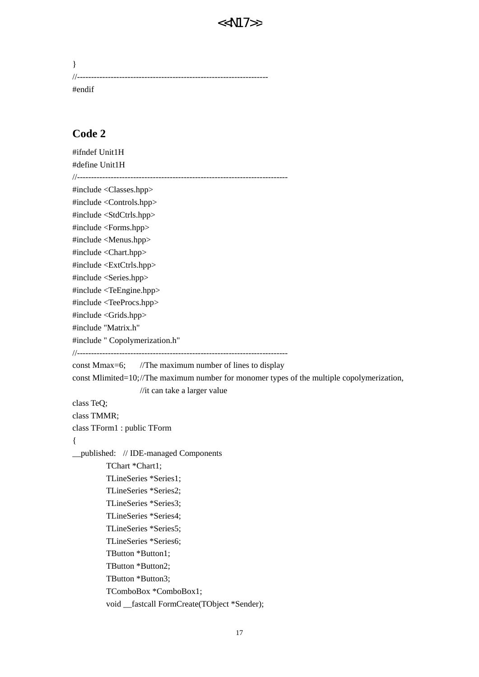| #endif |  |
|--------|--|

### **Code 2**

```
#ifndef Unit1H
#define Unit1H
//---------------------
#include <Classes.hpp>
#include <Controls.hpp>
#include <StdCtrls.hpp>
#include <Forms.hpp>
#include <Menus.hpp>
#include <Chart.hpp>
#include <ExtCtrls.hpp>
#include <Series.hpp>
#include <TeEngine.hpp>
#include <TeeProcs.hpp>
#include <Grids.hpp>
#include "Matrix.h"
#include " Copolymerization.h"
//---------------------------------------------------------------------------
const Mmax=6; //The maximum number of lines to display
const Mlimited=10;//The maximum number for monomer types of the multiple copolymerization,
                   //it can take a larger value
class TeQ;
class TMMR;
class TForm1 : public TForm
{ 
__published: // IDE-managed Components
          TChart *Chart1;
          TLineSeries *Series1;
          TLineSeries *Series2;
          TLineSeries *Series3;
          TLineSeries *Series4;
          TLineSeries *Series5;
          TLineSeries *Series6;
          TButton *Button1;
          TButton *Button2;
          TButton *Button3;
          TComboBox *ComboBox1;
         void fastcall FormCreate(TObject *Sender);
```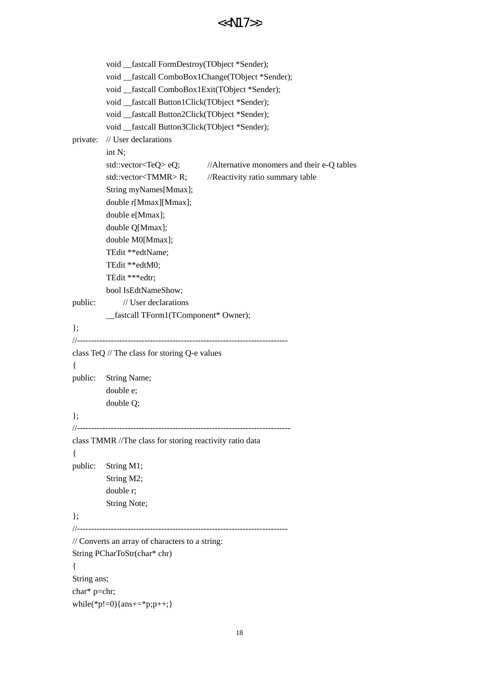|                             | < <n17>&gt;</n17>                                                                                                                                                                                                                                                                                                                                         |
|-----------------------------|-----------------------------------------------------------------------------------------------------------------------------------------------------------------------------------------------------------------------------------------------------------------------------------------------------------------------------------------------------------|
|                             |                                                                                                                                                                                                                                                                                                                                                           |
| private:                    | void _fastcall FormDestroy(TObject *Sender);<br>void _fastcall ComboBox1Change(TObject *Sender);<br>void _fastcall ComboBox1Exit(TObject *Sender);<br>void _fastcall Button1Click(TObject *Sender);<br>void _fastcall Button2Click(TObject *Sender);<br>void _fastcall Button3Click(TObject *Sender);<br>// User declarations                             |
|                             | int N;<br>std::vector <teq> eQ;<br/>//Alternative monomers and their e-Q tables<br/>std::vector<tmmr>R; //Reactivity ratio summary table<br/>String myNames[Mmax];<br/>double r[Mmax][Mmax];<br/>double e[Mmax];<br/>double Q[Mmax];<br/>double M0[Mmax];<br/>TEdit **edtName;<br/>TEdit **edtM0;<br/>TEdit ***edtr;<br/>bool IsEdtNameShow;</tmmr></teq> |
| public:                     | // User declarations<br>_fastcall TForm1(TComponent* Owner);                                                                                                                                                                                                                                                                                              |
| $\}$                        |                                                                                                                                                                                                                                                                                                                                                           |
| $\{$                        | class TeQ // The class for storing Q-e values                                                                                                                                                                                                                                                                                                             |
| public:<br>$\}$ ;           | String Name;<br>double e;<br>double Q;                                                                                                                                                                                                                                                                                                                    |
|                             | class TMMR //The class for storing reactivity ratio data                                                                                                                                                                                                                                                                                                  |
| $\{$<br>public:             | String M1;<br>String M2;<br>double r;<br>String Note;                                                                                                                                                                                                                                                                                                     |
| $\}$ ;                      |                                                                                                                                                                                                                                                                                                                                                           |
| ł                           | // Converts an array of characters to a string:<br>String PCharToStr(char* chr)                                                                                                                                                                                                                                                                           |
| String ans;<br>char* p=chr; |                                                                                                                                                                                                                                                                                                                                                           |
|                             | while(*p!=0){ans+=*p;p++;}                                                                                                                                                                                                                                                                                                                                |

18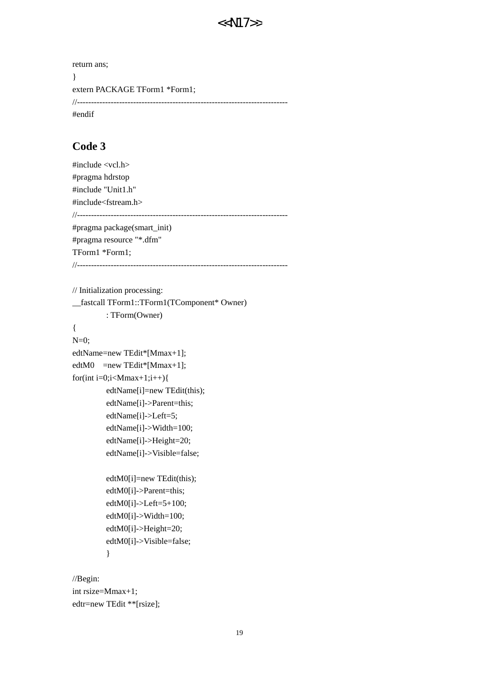```
return ans;
} 
extern PACKAGE TForm1 *Form1;
//---------------------------------------------------------------------------
#endif
```
### **Code 3**

```
#include <vcl.h>
#pragma hdrstop
#include "Unit1.h"
#include<fstream.h>
//---------------------------------------------------------------------------
#pragma package(smart_init)
#pragma resource "*.dfm"
TForm1 *Form1;
//---------------------------------------------------------------------------
// Initialization processing: 
__fastcall TForm1::TForm1(TComponent* Owner)
          : TForm(Owner)
{ 
N=0;
edtName=new TEdit*[Mmax+1];
edtM0 = new TEdit*[Mmax+1];
for(int i=0;i<Mmax+1;i++){
          edtName[i]=new TEdit(this);
          edtName[i]->Parent=this;
          edtName[i]->Left=5;
          edtName[i]->Width=100;
          edtName[i]->Height=20;
          edtName[i]->Visible=false;
          edtM0[i]=new TEdit(this);
          edtM0[i]->Parent=this;
          edtM0[i]->Left=5+100;
          edtM0[i]->Width=100;
          edtM0[i]->Height=20;
          edtM0[i]->Visible=false;
           }
```
//Begin: int rsize=Mmax+1; edtr=new TEdit \*\*[rsize];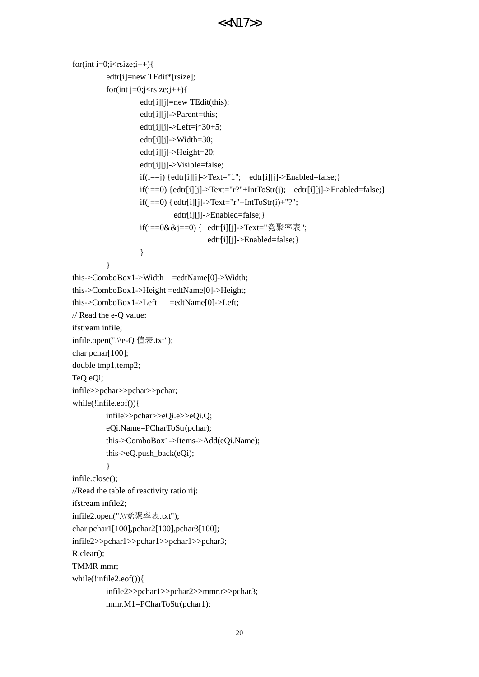```
for(int i=0;i<rsize;i++){
          edtr[i]=new TEdit*[rsize];
         for(int j=0;j<rsize;j++){
                  edtr[i][j]=new TEdit(this);
                  edtr[i][j]->Parent=this;
                  edtr[i][j]->Left=j*30+5;
                  edtr[i][j]->Width=30;
                   edtr[i][j]->Height=20;
                   edtr[i][j]->Visible=false;
                  if(i==j) {edtr[i][j]->Text="1"; edtr[i][j]->Enabeled=False;}if(i==0) {edtr[i][j]->Text="r?"+IntToStr(j); edtr[i][j]->Enabled=false;}
                  if(j==0) {edtr[i][j]->Text="r"+IntToStr(i)+"?";
                             edtr[i][j]->Enabled=false;}
                   if(i==0&&j==0) { edtr[i][j]->Text="竞聚率表";
                                     edtr[i][j]->Enabled=false;}
 } 
 } 
this->ComboBox1->Width =edtName[0]->Width;
this->ComboBox1->Height =edtName[0]->Height;
this->ComboBox1->Left =edtName[0]->Left;
// Read the e-Q value: 
ifstream infile;
infile.open(".\\e-Q 值表.txt");
char pchar[100];
double tmp1,temp2;
TeQ eQi;
infile>>pchar>>pchar>>pchar;
while(!infile.eof()){
          infile>>pchar>>eQi.e>>eQi.Q;
          eQi.Name=PCharToStr(pchar);
          this->ComboBox1->Items->Add(eQi.Name);
         this-\geq eQ.push back(eQi);
 } 
infile.close();
//Read the table of reactivity ratio rij: 
ifstream infile2;
infile2.open(".\\竞聚率表.txt");
char pchar1[100],pchar2[100],pchar3[100];
infile2>>pchar1>>pchar1>>pchar1>>pchar3;
R.clear();
TMMR mmr;
while(!infile2.eof()){
          infile2>>pchar1>>pchar2>>mmr.r>>pchar3;
          mmr.M1=PCharToStr(pchar1);
```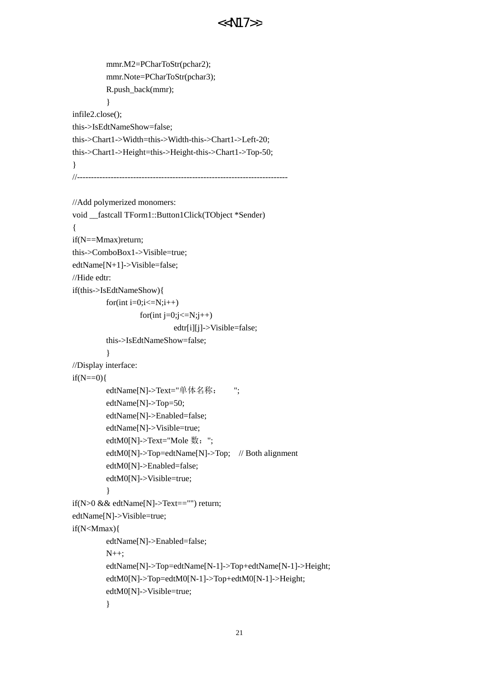```
 mmr.M2=PCharToStr(pchar2);
          mmr.Note=PCharToStr(pchar3);
          R.push_back(mmr);
 } 
infile2.close();
this->IsEdtNameShow=false;
this->Chart1->Width=this->Width-this->Chart1->Left-20;
this->Chart1->Height=this->Height-this->Chart1->Top-50;
} 
//---------------------------------------------------------------------------
//Add polymerized monomers: 
void __fastcall TForm1::Button1Click(TObject *Sender)
{ 
if(N==Mmax)return;
this->ComboBox1->Visible=true;
edtName[N+1]->Visible=false;
//Hide edtr:
if(this->IsEdtNameShow){
         for(int i=0;i\le=N;i++)
                   for(int j=0;j <= N;j + + )
                              edtr[i][j]->Visible=false;
          this->IsEdtNameShow=false;
 } 
//Display interface: 
if(N==0){
         edtName[N]->Text="单体名称: ";
          edtName[N]->Top=50;
          edtName[N]->Enabled=false;
          edtName[N]->Visible=true;
         edtM0[N]->Text="Mole 数: ";
          edtM0[N]->Top=edtName[N]->Top; // Both alignment
          edtM0[N]->Enabled=false;
          edtM0[N]->Visible=true;
          } 
if(N>0 && edtName[N]->Text=="") return;
edtName[N]->Visible=true;
if(N<Mmax){
          edtName[N]->Enabled=false;
          N++;
          edtName[N]->Top=edtName[N-1]->Top+edtName[N-1]->Height;
          edtM0[N]->Top=edtM0[N-1]->Top+edtM0[N-1]->Height;
          edtM0[N]->Visible=true;
          }
```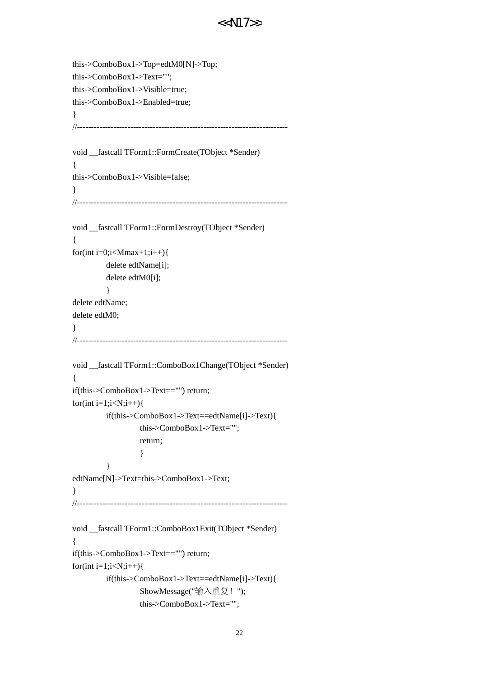```
this->ComboBox1->Top=edtM0[N]->Top;
this->ComboBox1->Text="";
this->ComboBox1->Visible=true;
this->ComboBox1->Enabled=true;
} 
//---------------------------------------------------------------------------
void __fastcall TForm1::FormCreate(TObject *Sender)
{ 
this->ComboBox1->Visible=false;
} 
//---------------------------------------------------------------------------
void __fastcall TForm1::FormDestroy(TObject *Sender)
{ 
for(int i=0;i<Mmax+1;i++){
          delete edtName[i];
          delete edtM0[i];
 } 
delete edtName;
delete edtM0;
} 
//---------------------------------------------------------------------------
void __fastcall TForm1::ComboBox1Change(TObject *Sender)
{ 
if(this->ComboBox1->Text=="") return;
for(int i=1;i < N; i++){
          if(this->ComboBox1->Text==edtName[i]->Text){
                    this->ComboBox1->Text="";
                    return;
 } 
 } 
edtName[N]->Text=this->ComboBox1->Text;
} 
//---------------------------------------------------------------------------
void fastcall TForm1::ComboBox1Exit(TObject *Sender)
{ 
if(this->ComboBox1->Text=="") return;
for(int i=1;i<N;i++){
          if(this->ComboBox1->Text==edtName[i]->Text){
                    ShowMessage("输入重复!");
                    this->ComboBox1->Text="";
```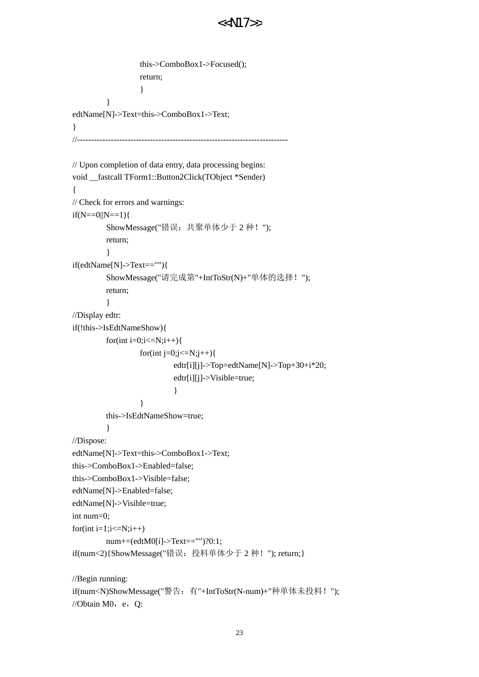```
 this->ComboBox1->Focused();
                  return;
 } 
         } 
edtName[N]->Text=this->ComboBox1->Text;
} 
//---------------------------------------------------------------------------
// Upon completion of data entry, data processing begins: 
void __fastcall TForm1::Button2Click(TObject *Sender)
{ 
// Check for errors and warnings: 
if(N==0||N==1){ ShowMessage("错误:共聚单体少于 2 种!");
         return;
 } 
if(edtName[N]->Text==""){
         ShowMessage("请完成第"+IntToStr(N)+"单体的选择!");
         return;
         } 
//Display edtr: 
if(!this->IsEdtNameShow){
        for(int i=0;i\le=N;i++){
                 for(int j=0;j <= N;j++){
                          edtr[i][j]->Top=edtName[N]->Top+30+i*20;
                          edtr[i][j]->Visible=true;
 } 
 } 
         this->IsEdtNameShow=true;
 } 
//Dispose: 
edtName[N]->Text=this->ComboBox1->Text;
this->ComboBox1->Enabled=false;
this->ComboBox1->Visible=false;
edtName[N]->Enabled=false;
edtName[N]->Visible=true;
int num=0;
for(int i=1;i\le=N;i++)
         num+=(edtM0[i]->Text=="")?0:1;
if(num<2){ShowMessage("错误: 投料单体少于 2 种! "); return;}
//Begin running: 
if(num<N)ShowMessage("警告:有"+IntToStr(N-num)+"种单体未投料!");
//Obtain M0, e, Q:
```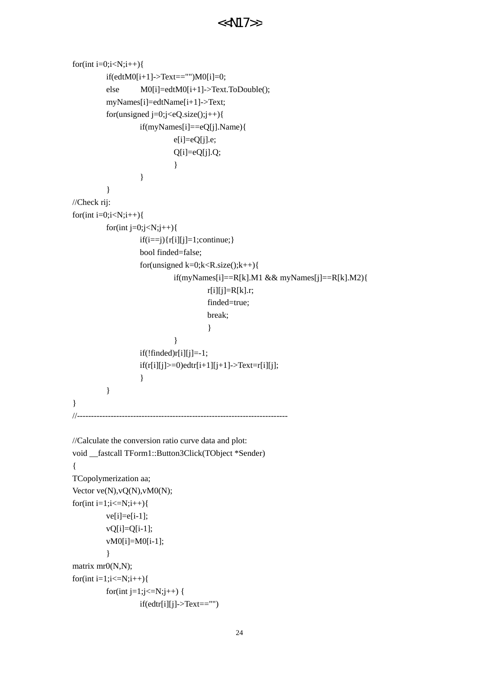```
for(int i=0;i<N;i++){
          if(edtM0[i+1]->Text=="")M0[i]=0;
         else M0[i]=edtM0[i+1]->Text.ToDouble();
          myNames[i]=edtName[i+1]->Text;
         for(unsigned j=0;j<eQ.size);j++){
                   if(myNames[i]==eQ[j].Name){
                            e[i]=eQ[j].e;
                           Q[i]=eQ[j].Q; } 
 } 
          } 
//Check rij: 
for(int i=0;i<N;i++){
         for(int j=0; j < N; j++){
                  if(i == j) {r[i][j]=1; continue;} bool finded=false;
                  for(unsigned k=0;k<R.size();k++){
                           if(myNames[i]==R[k].M1 && myNames[j]==R[k].M2){
                                    r[i][j]=R[k].r; finded=true;
                                     break;
                                    } 
 } 
                  if(!finded)r[i][j]=-1;if(r[i][j]>=0)edtr[i+1][j+1]>Text=r[i][j]; } 
          } 
} 
//---------------------------------------------------------------------------
//Calculate the conversion ratio curve data and plot: 
void fastcall TForm1::Button3Click(TObject *Sender)
{ 
TCopolymerization aa;
Vector ve(N), vQ(N), vMO(N);for(int i=1;i<=N; i++){
         ve[i]=e[i-1]; vQ[i]=Q[i-1];
         vM0[i]=M0[i-1]; } 
matrix mr0(N,N);
for(int i=1;i\le=N;i++){
         for(int j=1;j <= N;j + + ) {
                  if(edtr[i][j]->Text=="")
```